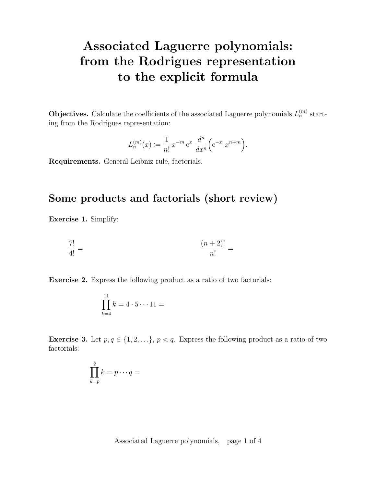# Associated Laguerre polynomials: from the Rodrigues representation to the explicit formula

**Objectives.** Calculate the coefficients of the associated Laguerre polynomials  $L_n^{(m)}$  starting from the Rodrigues representation:

$$
L_n^{(m)}(x) := \frac{1}{n!} x^{-m} e^{x} \frac{d^{n}}{dx^{n}} \left( e^{-x} x^{n+m} \right).
$$

Requirements. General Leibniz rule, factorials.

### Some products and factorials (short review)

Exercise 1. Simplify:

$$
\frac{7!}{4!} = \frac{(n+2)!}{n!} =
$$

Exercise 2. Express the following product as a ratio of two factorials:

$$
\prod_{k=4}^{11} k = 4 \cdot 5 \cdots 11 =
$$

**Exercise 3.** Let  $p, q \in \{1, 2, \ldots\}, p < q$ . Express the following product as a ratio of two factorials:

$$
\prod_{k=p}^q k = p \cdots q =
$$

Associated Laguerre polynomials, page 1 of 4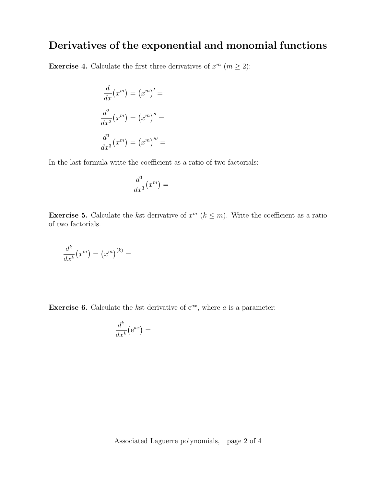## Derivatives of the exponential and monomial functions

**Exercise 4.** Calculate the first three derivatives of  $x^m$  ( $m \ge 2$ ):

$$
\frac{d}{dx}(x^m) = (x^m)' =
$$

$$
\frac{d^2}{dx^2}(x^m) = (x^m)'' =
$$

$$
\frac{d^3}{dx^3}(x^m) = (x^m)''' =
$$

In the last formula write the coefficient as a ratio of two factorials:

$$
\frac{d^3}{dx^3}(x^m) =
$$

**Exercise 5.** Calculate the kst derivative of  $x^m$  ( $k \leq m$ ). Write the coefficient as a ratio of two factorials.

$$
\frac{d^k}{dx^k}(x^m) = (x^m)^{(k)} =
$$

**Exercise 6.** Calculate the kst derivative of  $e^{ax}$ , where a is a parameter:

$$
\frac{d^k}{dx^k}(\mathrm{e}^{ax}) =
$$

Associated Laguerre polynomials, page 2 of 4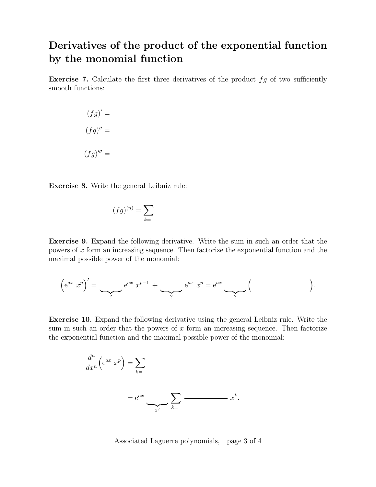## Derivatives of the product of the exponential function by the monomial function

**Exercise 7.** Calculate the first three derivatives of the product  $fg$  of two sufficiently smooth functions:

$$
(fg)' =
$$

$$
(fg)'' =
$$

$$
(fg)''' =
$$

Exercise 8. Write the general Leibniz rule:

$$
(fg)^{(n)} = \sum_{k=1}^{n}
$$

Exercise 9. Expand the following derivative. Write the sum in such an order that the powers of  $x$  form an increasing sequence. Then factorize the exponential function and the maximal possible power of the monomial:

$$
\left(e^{ax} x^p\right)' = \underbrace{\qquad}_{?} e^{ax} x^{p-1} + \underbrace{\qquad}_{?} e^{ax} x^p = e^{ax} \underbrace{\qquad}_{?} \qquad \qquad ).
$$

Exercise 10. Expand the following derivative using the general Leibniz rule. Write the sum in such an order that the powers of  $x$  form an increasing sequence. Then factorize the exponential function and the maximal possible power of the monomial:

$$
\frac{d^n}{dx^n} \left( e^{ax} x^p \right) = \sum_{k=1}^{\infty} \underbrace{1}_{x^2} \underbrace{1}_{x^2} \underbrace{1}_{x^2} \underbrace{1}_{x^2} \underbrace{1}_{x^2} \underbrace{1}_{x^2} \underbrace{1}_{x^2}.
$$

Associated Laguerre polynomials, page 3 of 4